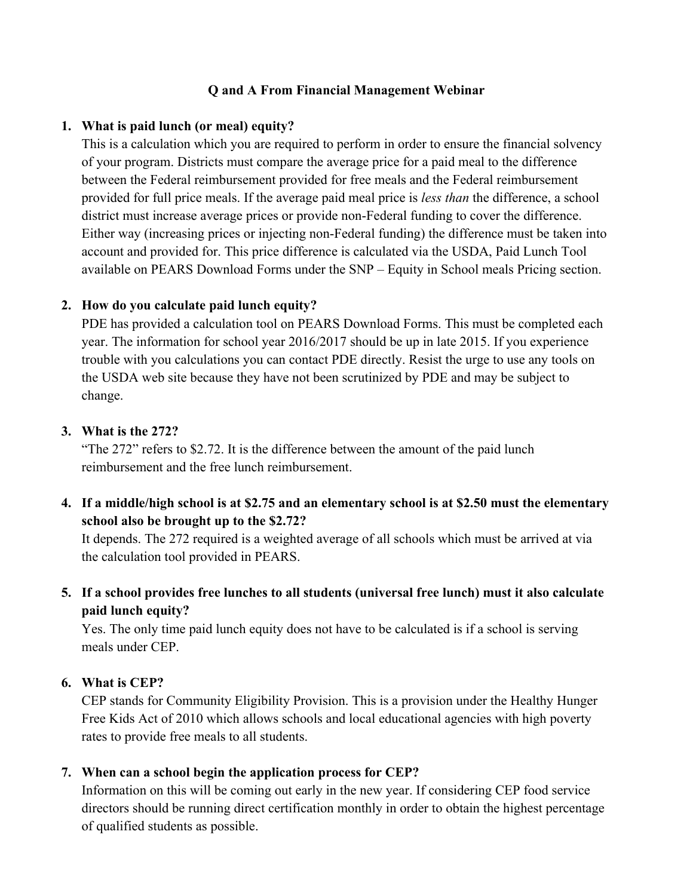# **Q and A From Financial Management Webinar**

### **1. What is paid lunch (or meal) equity?**

This is a calculation which you are required to perform in order to ensure the financial solvency of your program. Districts must compare the average price for a paid meal to the difference between the Federal reimbursement provided for free meals and the Federal reimbursement provided for full price meals. If the average paid meal price is *less than* the difference, a school district must increase average prices or provide non-Federal funding to cover the difference. Either way (increasing prices or injecting non-Federal funding) the difference must be taken into account and provided for. This price difference is calculated via the USDA, Paid Lunch Tool available on PEARS Download Forms under the SNP – Equity in School meals Pricing section.

# **2. How do you calculate paid lunch equity?**

PDE has provided a calculation tool on PEARS Download Forms. This must be completed each year. The information for school year 2016/2017 should be up in late 2015. If you experience trouble with you calculations you can contact PDE directly. Resist the urge to use any tools on the USDA web site because they have not been scrutinized by PDE and may be subject to change.

# **3. What is the 272?**

"The 272" refers to \$2.72. It is the difference between the amount of the paid lunch reimbursement and the free lunch reimbursement.

**4. If a middle/high school is at \$2.75 and an elementary school is at \$2.50 must the elementary school also be brought up to the \$2.72?**

It depends. The 272 required is a weighted average of all schools which must be arrived at via the calculation tool provided in PEARS.

**5. If a school provides free lunches to all students (universal free lunch) must it also calculate paid lunch equity?**

Yes. The only time paid lunch equity does not have to be calculated is if a school is serving meals under CEP.

# **6. What is CEP?**

CEP stands for Community Eligibility Provision. This is a provision under the Healthy Hunger Free Kids Act of 2010 which allows schools and local educational agencies with high poverty rates to provide free meals to all students.

# **7. When can a school begin the application process for CEP?**

Information on this will be coming out early in the new year. If considering CEP food service directors should be running direct certification monthly in order to obtain the highest percentage of qualified students as possible.